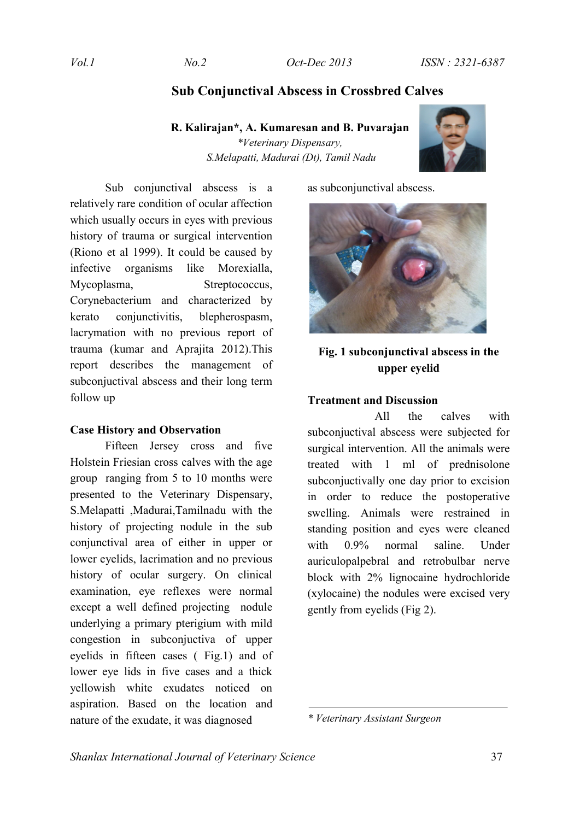# **Sub Conjunctival Abscess in Crossbred Calves**

## **R. Kalirajan\*, A. Kumaresan and B. Puvarajan**

*\*Veterinary Dispensary, S.Melapatti, Madurai (Dt), Tamil Nadu*



Sub conjunctival abscess is a relatively rare condition of ocular affection which usually occurs in eyes with previous history of trauma or surgical intervention (Riono et al 1999). It could be caused by infective organisms like Morexialla, Mycoplasma, Streptococcus, Corynebacterium and characterized by kerato conjunctivitis, blepherospasm, lacrymation with no previous report of trauma (kumar and Aprajita 2012).This report describes the management of subconjuctival abscess and their long term follow up

#### **Case History and Observation**

Fifteen Jersey cross and five Holstein Friesian cross calves with the age group ranging from 5 to 10 months were presented to the Veterinary Dispensary, S.Melapatti ,Madurai,Tamilnadu with the history of projecting nodule in the sub conjunctival area of either in upper or lower eyelids, lacrimation and no previous history of ocular surgery. On clinical examination, eye reflexes were normal except a well defined projecting nodule underlying a primary pterigium with mild congestion in subconjuctiva of upper eyelids in fifteen cases ( Fig.1) and of lower eye lids in five cases and a thick yellowish white exudates noticed on aspiration. Based on the location and nature of the exudate, it was diagnosed

as subconjunctival abscess.



# **Fig. 1 subconjunctival abscess in the upper eyelid**

## **Treatment and Discussion**

 All the calves with subconjuctival abscess were subjected for surgical intervention. All the animals were treated with 1 ml of prednisolone subconjuctivally one day prior to excision in order to reduce the postoperative swelling. Animals were restrained in standing position and eyes were cleaned with 0.9% normal saline. Under auriculopalpebral and retrobulbar nerve block with 2% lignocaine hydrochloride (xylocaine) the nodules were excised very gently from eyelids (Fig 2).

*<sup>\*</sup> Veterinary Assistant Surgeon*